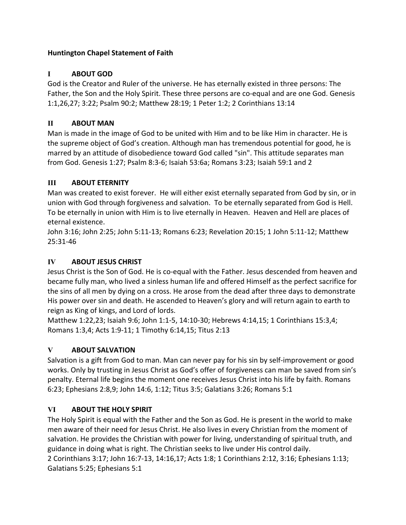### **Huntington Chapel Statement of Faith**

# **I ABOUT GOD**

God is the Creator and Ruler of the universe. He has eternally existed in three persons: The Father, the Son and the Holy Spirit. These three persons are co-equal and are one God. Genesis 1:1,26,27; 3:22; Psalm 90:2; Matthew 28:19; 1 Peter 1:2; 2 Corinthians 13:14

### **II ABOUT MAN**

Man is made in the image of God to be united with Him and to be like Him in character. He is the supreme object of God's creation. Although man has tremendous potential for good, he is marred by an attitude of disobedience toward God called "sin". This attitude separates man from God. Genesis 1:27; Psalm 8:3-6; Isaiah 53:6a; Romans 3:23; Isaiah 59:1 and 2

### **III ABOUT ETERNITY**

Man was created to exist forever. He will either exist eternally separated from God by sin, or in union with God through forgiveness and salvation. To be eternally separated from God is Hell. To be eternally in union with Him is to live eternally in Heaven. Heaven and Hell are places of eternal existence.

John 3:16; John 2:25; John 5:11-13; Romans 6:23; Revelation 20:15; 1 John 5:11-12; Matthew 25:31-46

# **IV ABOUT JESUS CHRIST**

Jesus Christ is the Son of God. He is co-equal with the Father. Jesus descended from heaven and became fully man, who lived a sinless human life and offered Himself as the perfect sacrifice for the sins of all men by dying on a cross. He arose from the dead after three days to demonstrate His power over sin and death. He ascended to Heaven's glory and will return again to earth to reign as King of kings, and Lord of lords.

Matthew 1:22,23; Isaiah 9:6; John 1:1-5, 14:10-30; Hebrews 4:14,15; 1 Corinthians 15:3,4; Romans 1:3,4; Acts 1:9-11; 1 Timothy 6:14,15; Titus 2:13

# **V ABOUT SALVATION**

Salvation is a gift from God to man. Man can never pay for his sin by self-improvement or good works. Only by trusting in Jesus Christ as God's offer of forgiveness can man be saved from sin's penalty. Eternal life begins the moment one receives Jesus Christ into his life by faith. Romans 6:23; Ephesians 2:8,9; John 14:6, 1:12; Titus 3:5; Galatians 3:26; Romans 5:1

# **VI ABOUT THE HOLY SPIRIT**

The Holy Spirit is equal with the Father and the Son as God. He is present in the world to make men aware of their need for Jesus Christ. He also lives in every Christian from the moment of salvation. He provides the Christian with power for living, understanding of spiritual truth, and guidance in doing what is right. The Christian seeks to live under His control daily. 2 Corinthians 3:17; John 16:7-13, 14:16,17; Acts 1:8; 1 Corinthians 2:12, 3:16; Ephesians 1:13; Galatians 5:25; Ephesians 5:1